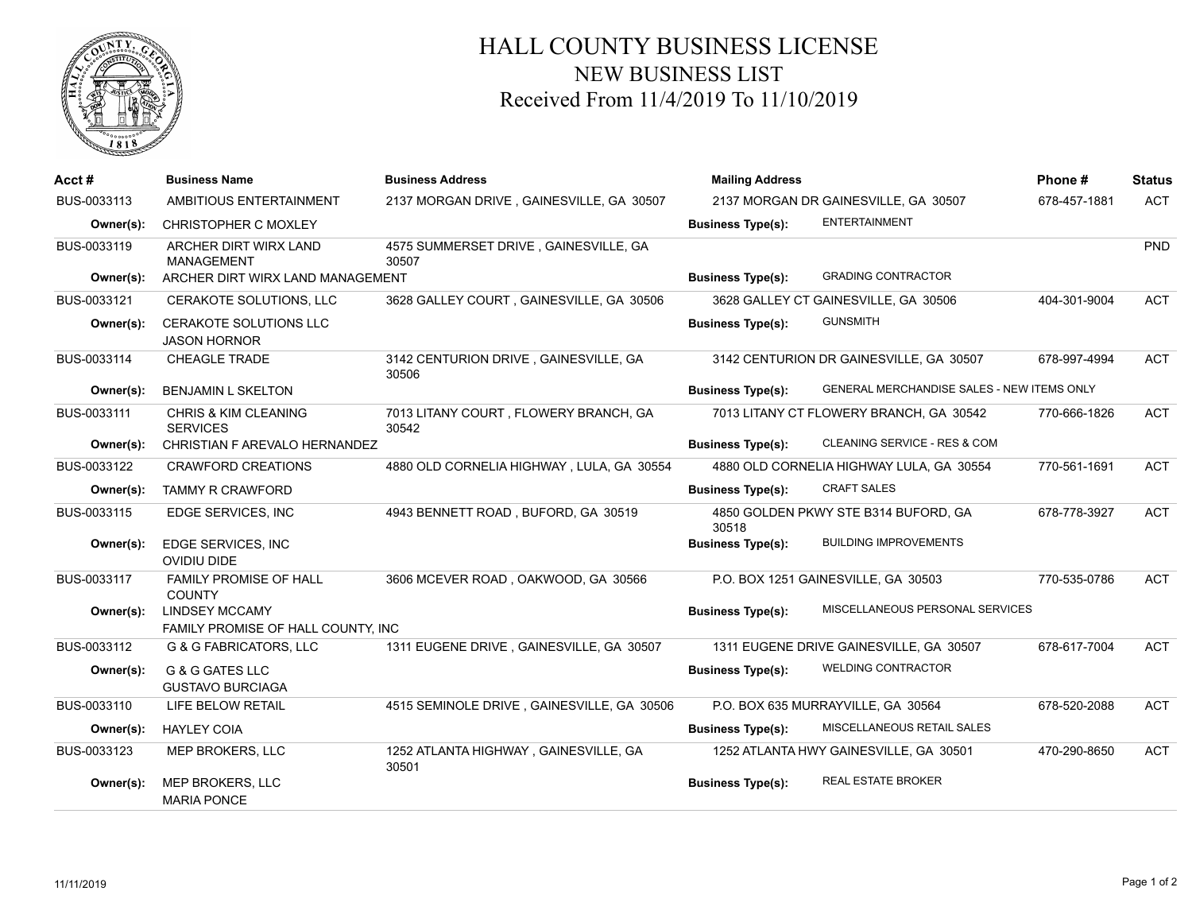

## HALL COUNTY BUSINESS LICENSE NEW BUSINESS LIST Received From 11/4/2019 To 11/10/2019

| $Acct \#$   | <b>Business Name</b>                                        | <b>Business Address</b>                        | <b>Mailing Address</b>               |                                            | Phone #      | <b>Status</b> |
|-------------|-------------------------------------------------------------|------------------------------------------------|--------------------------------------|--------------------------------------------|--------------|---------------|
| BUS-0033113 | AMBITIOUS ENTERTAINMENT                                     | 2137 MORGAN DRIVE, GAINESVILLE, GA 30507       | 2137 MORGAN DR GAINESVILLE, GA 30507 |                                            | 678-457-1881 | <b>ACT</b>    |
| Owner(s):   | CHRISTOPHER C MOXLEY                                        |                                                | <b>Business Type(s):</b>             | <b>ENTERTAINMENT</b>                       |              |               |
| BUS-0033119 | ARCHER DIRT WIRX LAND<br><b>MANAGEMENT</b>                  | 4575 SUMMERSET DRIVE, GAINESVILLE, GA<br>30507 |                                      |                                            |              | PND           |
| Owner(s):   | ARCHER DIRT WIRX LAND MANAGEMENT                            |                                                | <b>Business Type(s):</b>             | <b>GRADING CONTRACTOR</b>                  |              |               |
| BUS-0033121 | CERAKOTE SOLUTIONS, LLC                                     | 3628 GALLEY COURT, GAINESVILLE, GA 30506       |                                      | 3628 GALLEY CT GAINESVILLE, GA 30506       | 404-301-9004 | <b>ACT</b>    |
| Owner(s):   | <b>CERAKOTE SOLUTIONS LLC</b><br><b>JASON HORNOR</b>        |                                                | <b>Business Type(s):</b>             | <b>GUNSMITH</b>                            |              |               |
| BUS-0033114 | <b>CHEAGLE TRADE</b>                                        | 3142 CENTURION DRIVE, GAINESVILLE, GA<br>30506 |                                      | 3142 CENTURION DR GAINESVILLE, GA 30507    | 678-997-4994 | <b>ACT</b>    |
| Owner(s):   | <b>BENJAMIN L SKELTON</b>                                   |                                                | <b>Business Type(s):</b>             | GENERAL MERCHANDISE SALES - NEW ITEMS ONLY |              |               |
| BUS-0033111 | <b>CHRIS &amp; KIM CLEANING</b><br><b>SERVICES</b>          | 7013 LITANY COURT, FLOWERY BRANCH, GA<br>30542 |                                      | 7013 LITANY CT FLOWERY BRANCH, GA 30542    | 770-666-1826 | <b>ACT</b>    |
| Owner(s):   | CHRISTIAN F AREVALO HERNANDEZ                               |                                                | <b>Business Type(s):</b>             | CLEANING SERVICE - RES & COM               |              |               |
| BUS-0033122 | <b>CRAWFORD CREATIONS</b>                                   | 4880 OLD CORNELIA HIGHWAY, LULA, GA 30554      |                                      | 4880 OLD CORNELIA HIGHWAY LULA, GA 30554   | 770-561-1691 | <b>ACT</b>    |
| Owner(s):   | <b>TAMMY R CRAWFORD</b>                                     |                                                | <b>Business Type(s):</b>             | <b>CRAFT SALES</b>                         |              |               |
| BUS-0033115 | EDGE SERVICES, INC                                          | 4943 BENNETT ROAD, BUFORD, GA 30519            | 30518                                | 4850 GOLDEN PKWY STE B314 BUFORD, GA       | 678-778-3927 | <b>ACT</b>    |
| Owner(s):   | EDGE SERVICES, INC<br><b>OVIDIU DIDE</b>                    |                                                | <b>Business Type(s):</b>             | <b>BUILDING IMPROVEMENTS</b>               |              |               |
| BUS-0033117 | <b>FAMILY PROMISE OF HALL</b><br><b>COUNTY</b>              | 3606 MCEVER ROAD, OAKWOOD, GA 30566            |                                      | P.O. BOX 1251 GAINESVILLE, GA 30503        | 770-535-0786 | <b>ACT</b>    |
| Owner(s):   | <b>LINDSEY MCCAMY</b><br>FAMILY PROMISE OF HALL COUNTY. INC |                                                | <b>Business Type(s):</b>             | MISCELLANEOUS PERSONAL SERVICES            |              |               |
| BUS-0033112 | <b>G &amp; G FABRICATORS, LLC</b>                           | 1311 EUGENE DRIVE, GAINESVILLE, GA 30507       |                                      | 1311 EUGENE DRIVE GAINESVILLE, GA 30507    | 678-617-7004 | <b>ACT</b>    |
| Owner(s):   | <b>G &amp; G GATES LLC</b><br><b>GUSTAVO BURCIAGA</b>       |                                                | <b>Business Type(s):</b>             | <b>WELDING CONTRACTOR</b>                  |              |               |
| BUS-0033110 | LIFE BELOW RETAIL                                           | 4515 SEMINOLE DRIVE, GAINESVILLE, GA 30506     |                                      | P.O. BOX 635 MURRAYVILLE, GA 30564         | 678-520-2088 | <b>ACT</b>    |
| Owner(s):   | <b>HAYLEY COIA</b>                                          |                                                | <b>Business Type(s):</b>             | MISCELLANEOUS RETAIL SALES                 |              |               |
| BUS-0033123 | MEP BROKERS, LLC                                            | 1252 ATLANTA HIGHWAY, GAINESVILLE, GA<br>30501 |                                      | 1252 ATLANTA HWY GAINESVILLE, GA 30501     | 470-290-8650 | <b>ACT</b>    |
| Owner(s):   | MEP BROKERS, LLC<br><b>MARIA PONCE</b>                      |                                                | <b>Business Type(s):</b>             | <b>REAL ESTATE BROKER</b>                  |              |               |